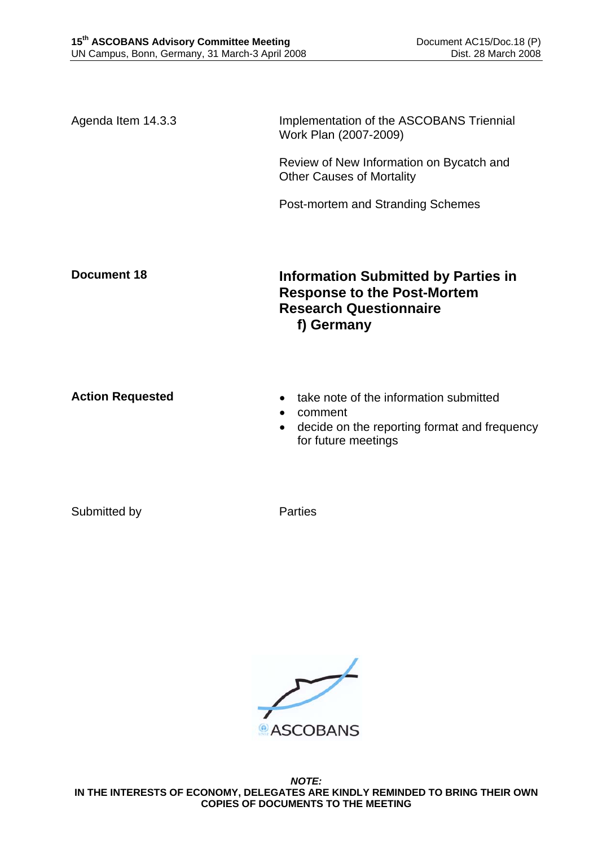Agenda Item 14.3.3 Implementation of the ASCOBANS Triennial Work Plan (2007-2009)

> Review of New Information on Bycatch and Other Causes of Mortality

Post-mortem and Stranding Schemes

**Document 18** Information Submitted by Parties in **Response to the Post-Mortem Research Questionnaire f) Germany** 

- **Action Requested**  take note of the information submitted
	- comment
	- decide on the reporting format and frequency for future meetings

Submitted by Parties



*NOTE:*  **IN THE INTERESTS OF ECONOMY, DELEGATES ARE KINDLY REMINDED TO BRING THEIR OWN COPIES OF DOCUMENTS TO THE MEETING**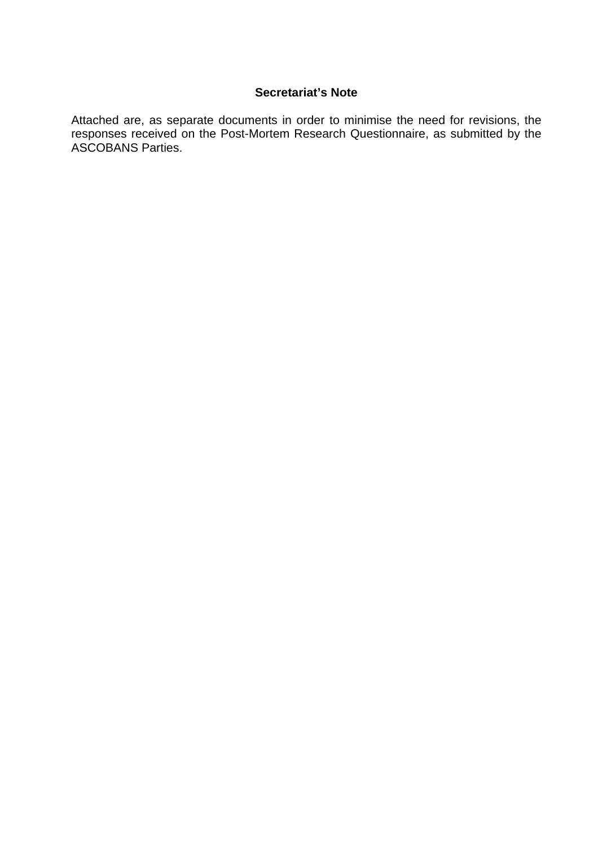## **Secretariat's Note**

Attached are, as separate documents in order to minimise the need for revisions, the responses received on the Post-Mortem Research Questionnaire, as submitted by the ASCOBANS Parties.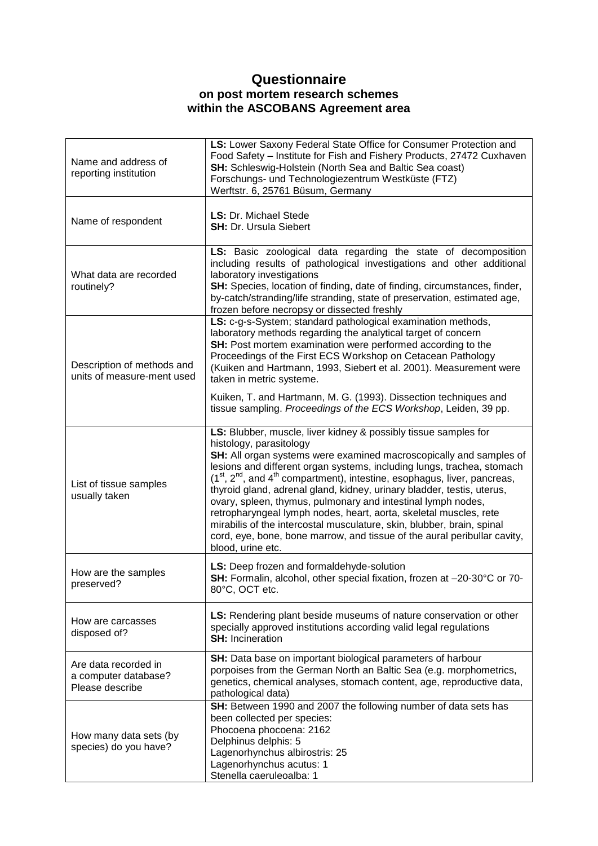## **Questionnaire on post mortem research schemes within the ASCOBANS Agreement area**

| Name and address of<br>reporting institution                    | LS: Lower Saxony Federal State Office for Consumer Protection and<br>Food Safety - Institute for Fish and Fishery Products, 27472 Cuxhaven<br>SH: Schleswig-Holstein (North Sea and Baltic Sea coast)<br>Forschungs- und Technologiezentrum Westküste (FTZ)<br>Werftstr. 6, 25761 Büsum, Germany                                                                                                                                                                                                                                                                                                                                                                                                                                                      |
|-----------------------------------------------------------------|-------------------------------------------------------------------------------------------------------------------------------------------------------------------------------------------------------------------------------------------------------------------------------------------------------------------------------------------------------------------------------------------------------------------------------------------------------------------------------------------------------------------------------------------------------------------------------------------------------------------------------------------------------------------------------------------------------------------------------------------------------|
| Name of respondent                                              | LS: Dr. Michael Stede<br><b>SH: Dr. Ursula Siebert</b>                                                                                                                                                                                                                                                                                                                                                                                                                                                                                                                                                                                                                                                                                                |
| What data are recorded<br>routinely?                            | LS: Basic zoological data regarding the state of decomposition<br>including results of pathological investigations and other additional<br>laboratory investigations<br>SH: Species, location of finding, date of finding, circumstances, finder,<br>by-catch/stranding/life stranding, state of preservation, estimated age,<br>frozen before necropsy or dissected freshly                                                                                                                                                                                                                                                                                                                                                                          |
| Description of methods and<br>units of measure-ment used        | LS: c-g-s-System; standard pathological examination methods,<br>laboratory methods regarding the analytical target of concern<br><b>SH:</b> Post mortem examination were performed according to the<br>Proceedings of the First ECS Workshop on Cetacean Pathology<br>(Kuiken and Hartmann, 1993, Siebert et al. 2001). Measurement were<br>taken in metric systeme.                                                                                                                                                                                                                                                                                                                                                                                  |
|                                                                 | Kuiken, T. and Hartmann, M. G. (1993). Dissection techniques and<br>tissue sampling. Proceedings of the ECS Workshop, Leiden, 39 pp.                                                                                                                                                                                                                                                                                                                                                                                                                                                                                                                                                                                                                  |
| List of tissue samples<br>usually taken                         | LS: Blubber, muscle, liver kidney & possibly tissue samples for<br>histology, parasitology<br>SH: All organ systems were examined macroscopically and samples of<br>lesions and different organ systems, including lungs, trachea, stomach<br>(1 <sup>st</sup> , 2 <sup>nd</sup> , and 4 <sup>th</sup> compartment), intestine, esophagus, liver, pancreas,<br>thyroid gland, adrenal gland, kidney, urinary bladder, testis, uterus,<br>ovary, spleen, thymus, pulmonary and intestinal lymph nodes,<br>retropharyngeal lymph nodes, heart, aorta, skeletal muscles, rete<br>mirabilis of the intercostal musculature, skin, blubber, brain, spinal<br>cord, eye, bone, bone marrow, and tissue of the aural peribullar cavity,<br>blood, urine etc. |
| How are the samples<br>preserved?                               | LS: Deep frozen and formaldehyde-solution<br>SH: Formalin, alcohol, other special fixation, frozen at -20-30°C or 70-<br>80°C, OCT etc.                                                                                                                                                                                                                                                                                                                                                                                                                                                                                                                                                                                                               |
| How are carcasses<br>disposed of?                               | LS: Rendering plant beside museums of nature conservation or other<br>specially approved institutions according valid legal regulations<br><b>SH: Incineration</b>                                                                                                                                                                                                                                                                                                                                                                                                                                                                                                                                                                                    |
| Are data recorded in<br>a computer database?<br>Please describe | SH: Data base on important biological parameters of harbour<br>porpoises from the German North an Baltic Sea (e.g. morphometrics,<br>genetics, chemical analyses, stomach content, age, reproductive data,<br>pathological data)                                                                                                                                                                                                                                                                                                                                                                                                                                                                                                                      |
| How many data sets (by<br>species) do you have?                 | SH: Between 1990 and 2007 the following number of data sets has<br>been collected per species:<br>Phocoena phocoena: 2162<br>Delphinus delphis: 5<br>Lagenorhynchus albirostris: 25<br>Lagenorhynchus acutus: 1<br>Stenella caeruleoalba: 1                                                                                                                                                                                                                                                                                                                                                                                                                                                                                                           |